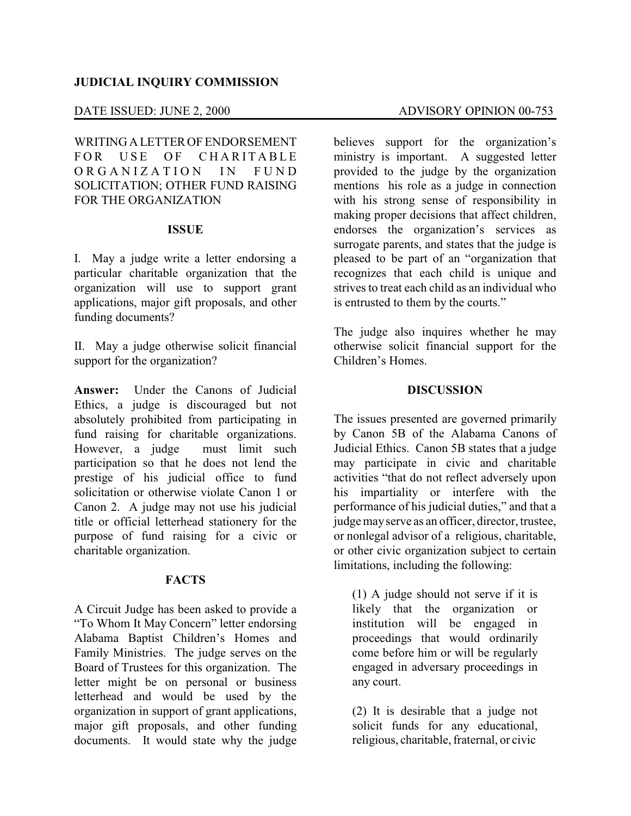## **JUDICIAL INQUIRY COMMISSION**

### DATE ISSUED: JUNE 2, 2000 ADVISORY OPINION 00-753

WRITING A LETTER OF ENDORSEMENT FOR USE OF CHARITABLE ORGANIZATION IN FUND SOLICITATION; OTHER FUND RAISING FOR THE ORGANIZATION

#### **ISSUE**

I. May a judge write a letter endorsing a particular charitable organization that the organization will use to support grant applications, major gift proposals, and other funding documents?

II. May a judge otherwise solicit financial support for the organization?

**Answer:** Under the Canons of Judicial Ethics, a judge is discouraged but not absolutely prohibited from participating in fund raising for charitable organizations. However, a judge must limit such participation so that he does not lend the prestige of his judicial office to fund solicitation or otherwise violate Canon 1 or Canon 2. A judge may not use his judicial title or official letterhead stationery for the purpose of fund raising for a civic or charitable organization.

### **FACTS**

A Circuit Judge has been asked to provide a "To Whom It May Concern" letter endorsing Alabama Baptist Children's Homes and Family Ministries. The judge serves on the Board of Trustees for this organization. The letter might be on personal or business letterhead and would be used by the organization in support of grant applications, major gift proposals, and other funding documents. It would state why the judge

believes support for the organization's ministry is important. A suggested letter provided to the judge by the organization mentions his role as a judge in connection with his strong sense of responsibility in making proper decisions that affect children, endorses the organization's services as surrogate parents, and states that the judge is pleased to be part of an "organization that recognizes that each child is unique and strives to treat each child as an individual who is entrusted to them by the courts."

The judge also inquires whether he may otherwise solicit financial support for the Children's Homes.

### **DISCUSSION**

The issues presented are governed primarily by Canon 5B of the Alabama Canons of Judicial Ethics. Canon 5B states that a judge may participate in civic and charitable activities "that do not reflect adversely upon his impartiality or interfere with the performance of his judicial duties," and that a judgemayserve as an officer, director, trustee, or nonlegal advisor of a religious, charitable, or other civic organization subject to certain limitations, including the following:

(1) A judge should not serve if it is likely that the organization or institution will be engaged in proceedings that would ordinarily come before him or will be regularly engaged in adversary proceedings in any court.

(2) It is desirable that a judge not solicit funds for any educational, religious, charitable, fraternal, or civic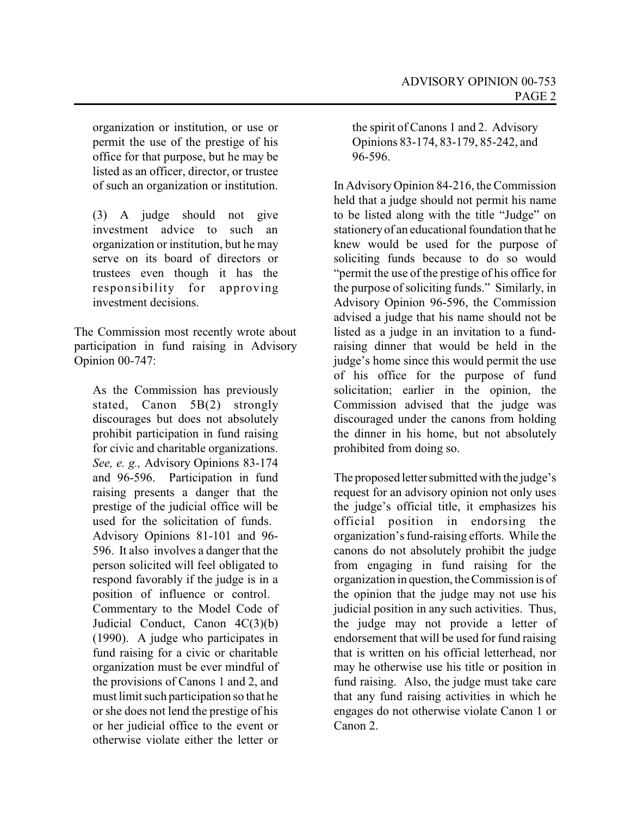organization or institution, or use or permit the use of the prestige of his office for that purpose, but he may be listed as an officer, director, or trustee of such an organization or institution.

(3) A judge should not give investment advice to such an organization or institution, but he may serve on its board of directors or trustees even though it has the responsibility for approving investment decisions.

The Commission most recently wrote about participation in fund raising in Advisory Opinion 00-747:

As the Commission has previously stated, Canon 5B(2) strongly discourages but does not absolutely prohibit participation in fund raising for civic and charitable organizations. *See, e. g.,* Advisory Opinions 83-174 and 96-596. Participation in fund raising presents a danger that the prestige of the judicial office will be used for the solicitation of funds. Advisory Opinions 81-101 and 96- 596. It also involves a danger that the person solicited will feel obligated to respond favorably if the judge is in a position of influence or control. Commentary to the Model Code of Judicial Conduct, Canon 4C(3)(b) (1990). A judge who participates in fund raising for a civic or charitable organization must be ever mindful of the provisions of Canons 1 and 2, and must limit such participation so that he or she does not lend the prestige of his or her judicial office to the event or otherwise violate either the letter or

the spirit of Canons 1 and 2. Advisory Opinions 83-174, 83-179, 85-242, and 96-596.

In AdvisoryOpinion 84-216, the Commission held that a judge should not permit his name to be listed along with the title "Judge" on stationeryof an educational foundation that he knew would be used for the purpose of soliciting funds because to do so would "permit the use of the prestige of his office for the purpose of soliciting funds." Similarly, in Advisory Opinion 96-596, the Commission advised a judge that his name should not be listed as a judge in an invitation to a fundraising dinner that would be held in the judge's home since this would permit the use of his office for the purpose of fund solicitation; earlier in the opinion, the Commission advised that the judge was discouraged under the canons from holding the dinner in his home, but not absolutely prohibited from doing so.

The proposed letter submitted with the judge's request for an advisory opinion not only uses the judge's official title, it emphasizes his official position in endorsing the organization's fund-raising efforts. While the canons do not absolutely prohibit the judge from engaging in fund raising for the organization in question, theCommission is of the opinion that the judge may not use his judicial position in any such activities. Thus, the judge may not provide a letter of endorsement that will be used for fund raising that is written on his official letterhead, nor may he otherwise use his title or position in fund raising. Also, the judge must take care that any fund raising activities in which he engages do not otherwise violate Canon 1 or Canon 2.